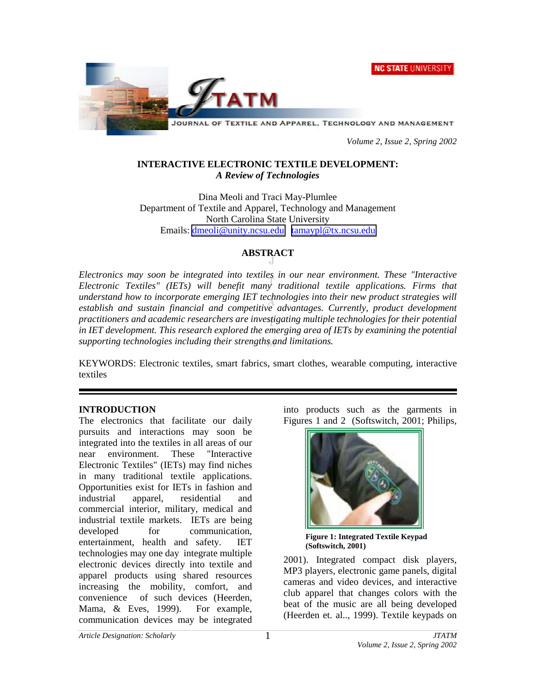**NC STATE UNIVERSITY** 



JOURNAL OF TEXTILE AND APPAREL, TECHNOLOGY AND MANAGEMENT

 *Volume 2, Issue 2, Spring 2002* 

### **INTERACTIVE ELECTRONIC TEXTILE DEVELOPMENT:**  *A Review of Technologies*

Dina Meoli and Traci May-Plumlee Department of Textile and Apparel, Technology and Management North Carolina State University Emails: [dmeoli@unity.ncsu.edu](mailto:dmeoli@unity.ncsu.edu) [tamaypl@tx.ncsu.edu](mailto:tamaypl@tx.ncsu.edu)

## **ABSTRACT**

*Electronics may soon be integrated into textiles in our near environment. These "Interactive Electronic Textiles" (IETs) will benefit many traditional textile applications. Firms that understand how to incorporate emerging IET technologies into their new product strategies will establish and sustain financial and competitive advantages. Currently, product development practitioners and academic researchers are investigating multiple technologies for their potential in IET development. This research explored the emerging area of IETs by examining the potential supporting technologies including their strengths and limitations.* 

KEYWORDS: Electronic textiles, smart fabrics, smart clothes, wearable computing, interactive textiles

### **INTRODUCTION**

The electronics that facilitate our daily pursuits and interactions may soon be integrated into the textiles in all areas of our near environment. These "Interactive Electronic Textiles" (IETs) may find niches in many traditional textile applications. Opportunities exist for IETs in fashion and industrial apparel, residential and commercial interior, military, medical and industrial textile markets. IETs are being developed for communication. entertainment, health and safety. IET technologies may one day integrate multiple electronic devices directly into textile and apparel products using shared resources increasing the mobility, comfort, and convenience of such devices (Heerden, Mama, & Eves, 1999). For example, communication devices may be integrated

into products such as the garments in Figures 1 and 2 (Softswitch, 2001; Philips,



**Figure 1: Integrated Textile Keypad (Softswitch, 2001)** 

2001). Integrated compact disk players, MP3 players, electronic game panels, digital cameras and video devices, and interactive club apparel that changes colors with the beat of the music are all being developed (Heerden et. al.., 1999). Textile keypads on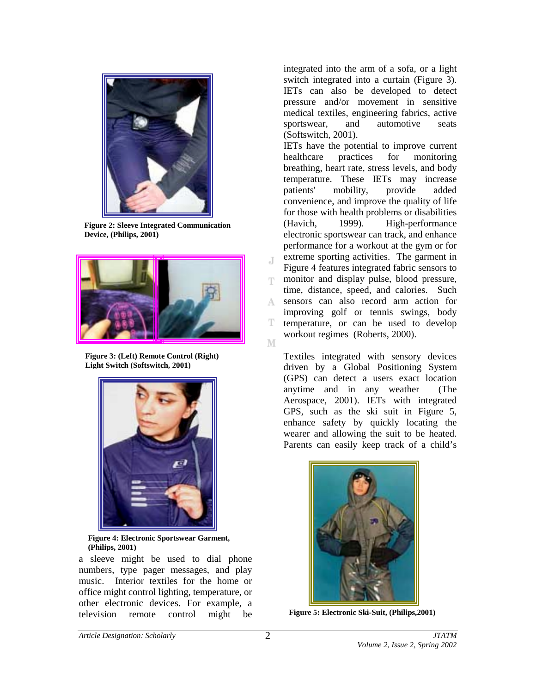

**Figure 2: Sleeve Integrated Communication Device, (Philips, 2001)** 



**Figure 3: (Left) Remote Control (Right) Light Switch (Softswitch, 2001)**



**Figure 4: Electronic Sportswear Garment, (Philips, 2001)**

a sleeve might be used to dial phone numbers, type pager messages, and play music. Interior textiles for the home or office might control lighting, temperature, or other electronic devices. For example, a television remote control might be

integrated into the arm of a sofa, or a light switch integrated into a curtain (Figure 3). IETs can also be developed to detect pressure and/or movement in sensitive medical textiles, engineering fabrics, active sportswear, and automotive seats (Softswitch, 2001).

IETs have the potential to improve current healthcare practices for monitoring breathing, heart rate, stress levels, and body temperature. These IETs may increase patients' mobility, provide added convenience, and improve the quality of life for those with health problems or disabilities (Havich, 1999). High-performance electronic sportswear can track, and enhance performance for a workout at the gym or for extreme sporting activities. The garment in Figure 4 features integrated fabric sensors to monitor and display pulse, blood pressure, T. time, distance, speed, and calories. Such sensors can also record arm action for A. improving golf or tennis swings, body T temperature, or can be used to develop workout regimes (Roberts, 2000).  $\mathbb M$ 

Textiles integrated with sensory devices driven by a Global Positioning System (GPS) can detect a users exact location anytime and in any weather (The Aerospace, 2001). IETs with integrated GPS, such as the ski suit in Figure 5, enhance safety by quickly locating the wearer and allowing the suit to be heated. Parents can easily keep track of a child's



**Figure 5: Electronic Ski-Suit, (Philips,2001)** 

J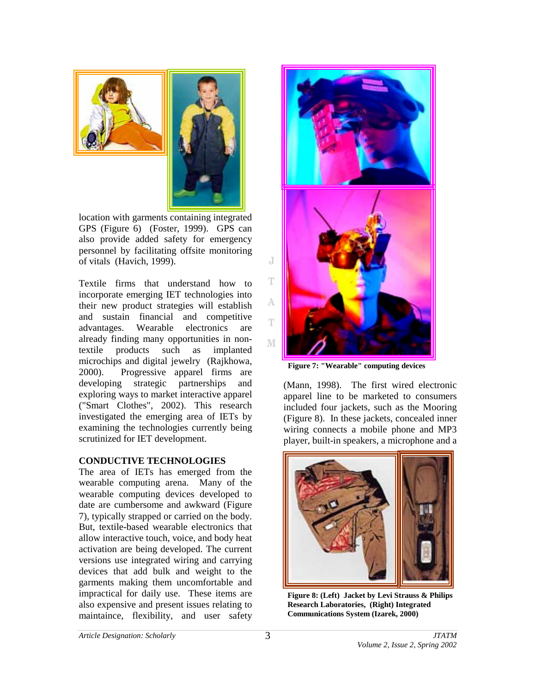

location with garments containing integrated GPS (Figure 6) (Foster, 1999). GPS can also provide added safety for emergency personnel by facilitating offsite monitoring of vitals (Havich, 1999).

Textile firms that understand how to incorporate emerging IET technologies into their new product strategies will establish and sustain financial and competitive advantages. Wearable electronics are already finding many opportunities in nontextile products such as implanted microchips and digital jewelry (Rajkhowa, 2000). Progressive apparel firms are developing strategic partnerships and exploring ways to market interactive apparel ("Smart Clothes", 2002). This research investigated the emerging area of IETs by examining the technologies currently being scrutinized for IET development.

### **CONDUCTIVE TECHNOLOGIES**

The area of IETs has emerged from the wearable computing arena. Many of the wearable computing devices developed to date are cumbersome and awkward (Figure 7), typically strapped or carried on the body. But, textile-based wearable electronics that allow interactive touch, voice, and body heat activation are being developed. The current versions use integrated wiring and carrying devices that add bulk and weight to the garments making them uncomfortable and impractical for daily use. These items are also expensive and present issues relating to maintaince, flexibility, and user safety



**Figure 7: "Wearable" computing devices**

(Mann, 1998). The first wired electronic apparel line to be marketed to consumers included four jackets, such as the Mooring (Figure 8). In these jackets, concealed inner wiring connects a mobile phone and MP3 player, built-in speakers, a microphone and a



**Figure 8: (Left) Jacket by Levi Strauss & Philips Research Laboratories, (Right) Integrated Communications System (Izarek, 2000)**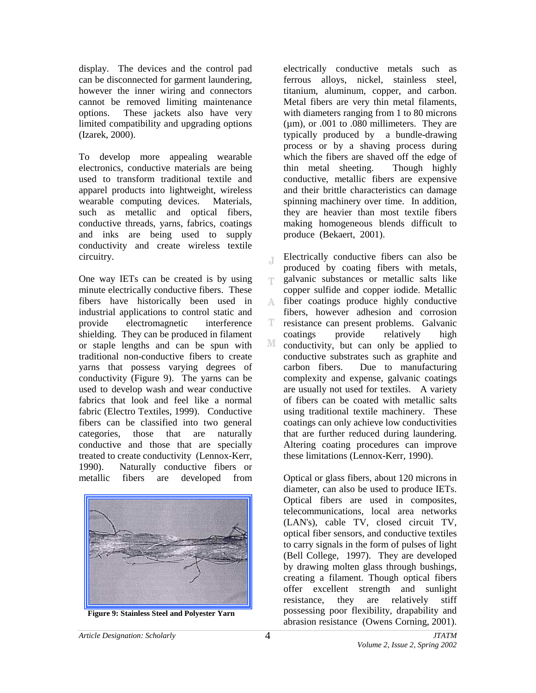display. The devices and the control pad can be disconnected for garment laundering, however the inner wiring and connectors cannot be removed limiting maintenance options. These jackets also have very limited compatibility and upgrading options (Izarek, 2000).

To develop more appealing wearable electronics, conductive materials are being used to transform traditional textile and apparel products into lightweight, wireless wearable computing devices. Materials, such as metallic and optical fibers, conductive threads, yarns, fabrics, coatings and inks are being used to supply conductivity and create wireless textile circuitry.

One way IETs can be created is by using minute electrically conductive fibers. These fibers have historically been used in industrial applications to control static and provide electromagnetic interference shielding. They can be produced in filament or staple lengths and can be spun with traditional non-conductive fibers to create yarns that possess varying degrees of conductivity (Figure 9). The yarns can be used to develop wash and wear conductive fabrics that look and feel like a normal fabric (Electro Textiles, 1999). Conductive fibers can be classified into two general categories, those that are naturally conductive and those that are specially treated to create conductivity (Lennox-Kerr, 1990). Naturally conductive fibers or metallic fibers are developed from



electrically conductive metals such as ferrous alloys, nickel, stainless steel, titanium, aluminum, copper, and carbon. Metal fibers are very thin metal filaments, with diameters ranging from 1 to 80 microns  $(\mu m)$ , or .001 to .080 millimeters. They are typically produced by a bundle-drawing process or by a shaving process during which the fibers are shaved off the edge of thin metal sheeting. Though highly conductive, metallic fibers are expensive and their brittle characteristics can damage spinning machinery over time. In addition, they are heavier than most textile fibers making homogeneous blends difficult to produce (Bekaert, 2001).

Electrically conductive fibers can also be J produced by coating fibers with metals, galvanic substances or metallic salts like T copper sulfide and copper iodide. Metallic fiber coatings produce highly conductive A. fibers, however adhesion and corrosion T resistance can present problems. Galvanic coatings provide relatively high M conductivity, but can only be applied to conductive substrates such as graphite and carbon fibers. Due to manufacturing complexity and expense, galvanic coatings are usually not used for textiles. A variety of fibers can be coated with metallic salts using traditional textile machinery. These coatings can only achieve low conductivities that are further reduced during laundering. Altering coating procedures can improve these limitations (Lennox-Kerr, 1990).

Optical or glass fibers, about 120 microns in diameter, can also be used to produce IETs. Optical fibers are used in composites, telecommunications, local area networks (LAN's), cable TV, closed circuit TV, optical fiber sensors, and conductive textiles to carry signals in the form of pulses of light (Bell College, 1997). They are developed by drawing molten glass through bushings, creating a filament. Though optical fibers offer excellent strength and sunlight resistance, they are relatively stiff possessing poor flexibility, drapability and Figure 9: Stainless Steel and Polyester Yarn possessing poor flexibility, drapability and abrasion resistance (Owens Corning, 2001).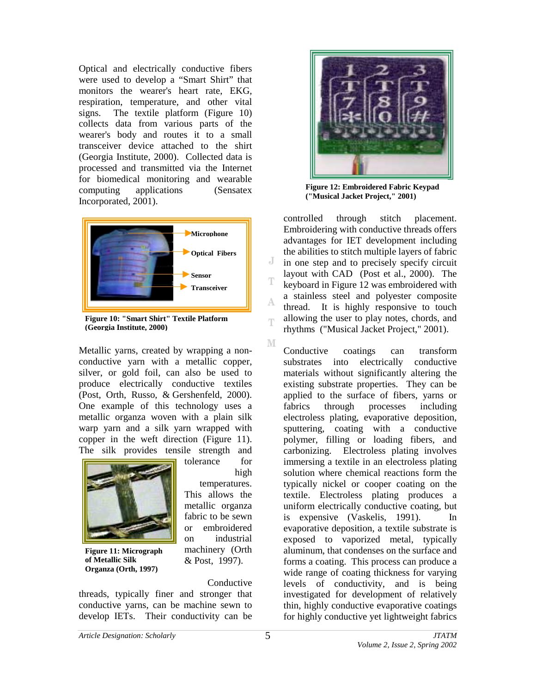Optical and electrically conductive fibers were used to develop a "Smart Shirt" that monitors the wearer's heart rate, EKG, respiration, temperature, and other vital signs. The textile platform (Figure 10) collects data from various parts of the wearer's body and routes it to a small transceiver device attached to the shirt (Georgia Institute, 2000). Collected data is processed and transmitted via the Internet for biomedical monitoring and wearable computing applications (Sensatex Incorporated, 2001).



**Figure 10: "Smart Shirt" Textile Platform (Georgia Institute, 2000)** 

Metallic yarns, created by wrapping a nonconductive yarn with a metallic copper, silver, or gold foil, can also be used to produce electrically conductive textiles (Post, Orth, Russo, & Gershenfeld, 2000). One example of this technology uses a metallic organza woven with a plain silk warp yarn and a silk yarn wrapped with copper in the weft direction (Figure 11). The silk provides tensile strength and tolerance for



**Figure 11: Micrograph of Metallic Silk Organza (Orth, 1997)** 

high temperatures. This allows the metallic organza fabric to be sewn or embroidered on industrial machinery (Orth & Post, 1997).

Conductive

threads, typically finer and stronger that conductive yarns, can be machine sewn to develop IETs. Their conductivity can be



**Figure 12: Embroidered Fabric Keypad ("Musical Jacket Project," 2001)** 

controlled through stitch placement. Embroidering with conductive threads offers advantages for IET development including the abilities to stitch multiple layers of fabric in one step and to precisely specify circuit layout with CAD (Post et al., 2000). The keyboard in Figure 12 was embroidered with a stainless steel and polyester composite thread. It is highly responsive to touch allowing the user to play notes, chords, and rhythms ("Musical Jacket Project," 2001).

Conductive coatings can transform substrates into electrically conductive materials without significantly altering the existing substrate properties. They can be applied to the surface of fibers, yarns or fabrics through processes including electroless plating, evaporative deposition, sputtering, coating with a conductive polymer, filling or loading fibers, and carbonizing. Electroless plating involves immersing a textile in an electroless plating solution where chemical reactions form the typically nickel or cooper coating on the textile. Electroless plating produces a uniform electrically conductive coating, but is expensive (Vaskelis, 1991). In evaporative deposition, a textile substrate is exposed to vaporized metal, typically aluminum, that condenses on the surface and forms a coating. This process can produce a wide range of coating thickness for varying levels of conductivity, and is being investigated for development of relatively thin, highly conductive evaporative coatings for highly conductive yet lightweight fabrics

J

А

T

M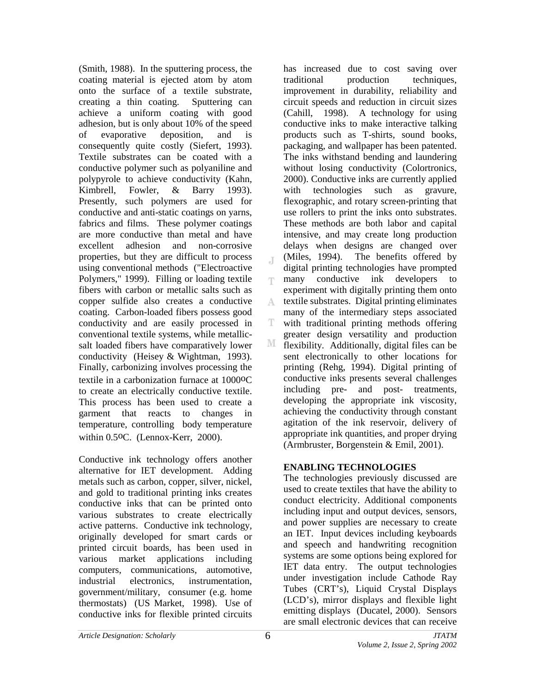(Smith, 1988). In the sputtering process, the coating material is ejected atom by atom onto the surface of a textile substrate, creating a thin coating. Sputtering can achieve a uniform coating with good adhesion, but is only about 10% of the speed of evaporative deposition, and is consequently quite costly (Siefert, 1993). Textile substrates can be coated with a conductive polymer such as polyaniline and polypyrole to achieve conductivity (Kahn, Kimbrell, Fowler, & Barry 1993). Presently, such polymers are used for conductive and anti-static coatings on yarns, fabrics and films. These polymer coatings are more conductive than metal and have excellent adhesion and non-corrosive properties, but they are difficult to process using conventional methods ("Electroactive Polymers," 1999). Filling or loading textile fibers with carbon or metallic salts such as copper sulfide also creates a conductive coating. Carbon-loaded fibers possess good conductivity and are easily processed in conventional textile systems, while metallicsalt loaded fibers have comparatively lower conductivity (Heisey & Wightman, 1993). Finally, carbonizing involves processing the textile in a carbonization furnace at 1000oC to create an electrically conductive textile. This process has been used to create a garment that reacts to changes in temperature, controlling body temperature within 0.5oC. (Lennox-Kerr, 2000).

Conductive ink technology offers another alternative for IET development. Adding metals such as carbon, copper, silver, nickel, and gold to traditional printing inks creates conductive inks that can be printed onto various substrates to create electrically active patterns. Conductive ink technology, originally developed for smart cards or printed circuit boards, has been used in various market applications including computers, communications, automotive, industrial electronics, instrumentation, government/military, consumer (e.g. home thermostats) (US Market, 1998). Use of conductive inks for flexible printed circuits

has increased due to cost saving over traditional production techniques, improvement in durability, reliability and circuit speeds and reduction in circuit sizes (Cahill, 1998). A technology for using conductive inks to make interactive talking products such as T-shirts, sound books, packaging, and wallpaper has been patented. The inks withstand bending and laundering without losing conductivity (Colortronics, 2000). Conductive inks are currently applied with technologies such as gravure, flexographic, and rotary screen-printing that use rollers to print the inks onto substrates. These methods are both labor and capital intensive, and may create long production delays when designs are changed over (Miles, 1994). The benefits offered by digital printing technologies have prompted many conductive ink developers to T. experiment with digitally printing them onto textile substrates. Digital printing eliminates A many of the intermediary steps associated with traditional printing methods offering T. greater design versatility and production М flexibility. Additionally, digital files can be sent electronically to other locations for printing (Rehg, 1994). Digital printing of conductive inks presents several challenges including pre- and post- treatments, developing the appropriate ink viscosity, achieving the conductivity through constant agitation of the ink reservoir, delivery of appropriate ink quantities, and proper drying (Armbruster, Borgenstein & Emil, 2001).

### **ENABLING TECHNOLOGIES**

The technologies previously discussed are used to create textiles that have the ability to conduct electricity. Additional components including input and output devices, sensors, and power supplies are necessary to create an IET. Input devices including keyboards and speech and handwriting recognition systems are some options being explored for IET data entry. The output technologies under investigation include Cathode Ray Tubes (CRT's), Liquid Crystal Displays (LCD's), mirror displays and flexible light emitting displays (Ducatel, 2000). Sensors are small electronic devices that can receive

 $\overline{A}$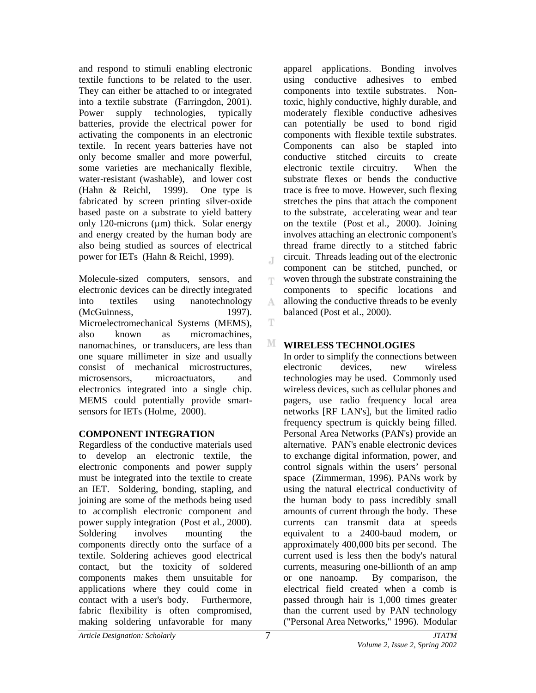and respond to stimuli enabling electronic textile functions to be related to the user. They can either be attached to or integrated into a textile substrate (Farringdon, 2001). Power supply technologies, typically batteries, provide the electrical power for activating the components in an electronic textile. In recent years batteries have not only become smaller and more powerful, some varieties are mechanically flexible, water-resistant (washable), and lower cost (Hahn & Reichl, 1999). One type is fabricated by screen printing silver-oxide based paste on a substrate to yield battery only 120-microns  $(\mu m)$  thick. Solar energy and energy created by the human body are also being studied as sources of electrical power for IETs (Hahn & Reichl, 1999).

Molecule-sized computers, sensors, and electronic devices can be directly integrated into textiles using nanotechnology (McGuinness, 1997). Microelectromechanical Systems (MEMS), also known as micromachines, nanomachines, or transducers, are less than one square millimeter in size and usually consist of mechanical microstructures, microsensors, microactuators, and electronics integrated into a single chip. MEMS could potentially provide smartsensors for IETs (Holme, 2000).

## **COMPONENT INTEGRATION**

Regardless of the conductive materials used to develop an electronic textile, the electronic components and power supply must be integrated into the textile to create an IET. Soldering, bonding, stapling, and joining are some of the methods being used to accomplish electronic component and power supply integration (Post et al., 2000). Soldering involves mounting the components directly onto the surface of a textile. Soldering achieves good electrical contact, but the toxicity of soldered components makes them unsuitable for applications where they could come in contact with a user's body. Furthermore, fabric flexibility is often compromised, making soldering unfavorable for many

apparel applications. Bonding involves using conductive adhesives to embed components into textile substrates. Nontoxic, highly conductive, highly durable, and moderately flexible conductive adhesives can potentially be used to bond rigid components with flexible textile substrates. Components can also be stapled into conductive stitched circuits to create electronic textile circuitry. When the substrate flexes or bends the conductive trace is free to move. However, such flexing stretches the pins that attach the component to the substrate, accelerating wear and tear on the textile (Post et al., 2000). Joining involves attaching an electronic component's thread frame directly to a stitched fabric circuit. Threads leading out of the electronic component can be stitched, punched, or woven through the substrate constraining the components to specific locations and allowing the conductive threads to be evenly balanced (Post et al., 2000).

# **WIRELESS TECHNOLOGIES**

 $\overline{A}$ 

T

A.

T

M

In order to simplify the connections between electronic devices, new wireless technologies may be used. Commonly used wireless devices, such as cellular phones and pagers, use radio frequency local area networks [RF LAN's], but the limited radio frequency spectrum is quickly being filled. Personal Area Networks (PAN's) provide an alternative. PAN's enable electronic devices to exchange digital information, power, and control signals within the users' personal space (Zimmerman, 1996). PANs work by using the natural electrical conductivity of the human body to pass incredibly small amounts of current through the body. These currents can transmit data at speeds equivalent to a 2400-baud modem, or approximately 400,000 bits per second. The current used is less then the body's natural currents, measuring one-billionth of an amp or one nanoamp. By comparison, the electrical field created when a comb is passed through hair is 1,000 times greater than the current used by PAN technology ("Personal Area Networks," 1996). Modular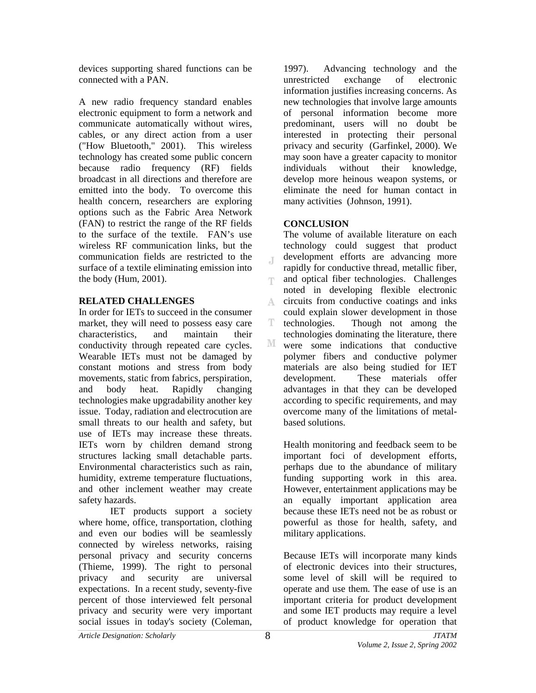devices supporting shared functions can be connected with a PAN.

A new radio frequency standard enables electronic equipment to form a network and communicate automatically without wires, cables, or any direct action from a user ("How Bluetooth," 2001). This wireless technology has created some public concern because radio frequency (RF) fields broadcast in all directions and therefore are emitted into the body. To overcome this health concern, researchers are exploring options such as the Fabric Area Network (FAN) to restrict the range of the RF fields to the surface of the textile. FAN's use wireless RF communication links, but the communication fields are restricted to the surface of a textile eliminating emission into the body (Hum, 2001).

## **RELATED CHALLENGES**

In order for IETs to succeed in the consumer market, they will need to possess easy care characteristics, and maintain their conductivity through repeated care cycles. Wearable IETs must not be damaged by constant motions and stress from body movements, static from fabrics, perspiration, and body heat. Rapidly changing technologies make upgradability another key issue. Today, radiation and electrocution are small threats to our health and safety, but use of IETs may increase these threats. IETs worn by children demand strong structures lacking small detachable parts. Environmental characteristics such as rain, humidity, extreme temperature fluctuations, and other inclement weather may create safety hazards.

 IET products support a society where home, office, transportation, clothing and even our bodies will be seamlessly connected by wireless networks, raising personal privacy and security concerns (Thieme, 1999). The right to personal privacy and security are universal expectations. In a recent study, seventy-five percent of those interviewed felt personal privacy and security were very important social issues in today's society (Coleman,

1997). Advancing technology and the unrestricted exchange of electronic information justifies increasing concerns. As new technologies that involve large amounts of personal information become more predominant, users will no doubt be interested in protecting their personal privacy and security (Garfinkel, 2000). We may soon have a greater capacity to monitor individuals without their knowledge, develop more heinous weapon systems, or eliminate the need for human contact in many activities (Johnson, 1991).

# **CONCLUSION**

The volume of available literature on each technology could suggest that product development efforts are advancing more  $\overline{A}$ rapidly for conductive thread, metallic fiber, and optical fiber technologies. Challenges T noted in developing flexible electronic A. circuits from conductive coatings and inks could explain slower development in those T. technologies. Though not among the technologies dominating the literature, there М were some indications that conductive polymer fibers and conductive polymer materials are also being studied for IET development. These materials offer advantages in that they can be developed according to specific requirements, and may overcome many of the limitations of metalbased solutions.

Health monitoring and feedback seem to be important foci of development efforts, perhaps due to the abundance of military funding supporting work in this area. However, entertainment applications may be an equally important application area because these IETs need not be as robust or powerful as those for health, safety, and military applications.

Because IETs will incorporate many kinds of electronic devices into their structures, some level of skill will be required to operate and use them. The ease of use is an important criteria for product development and some IET products may require a level of product knowledge for operation that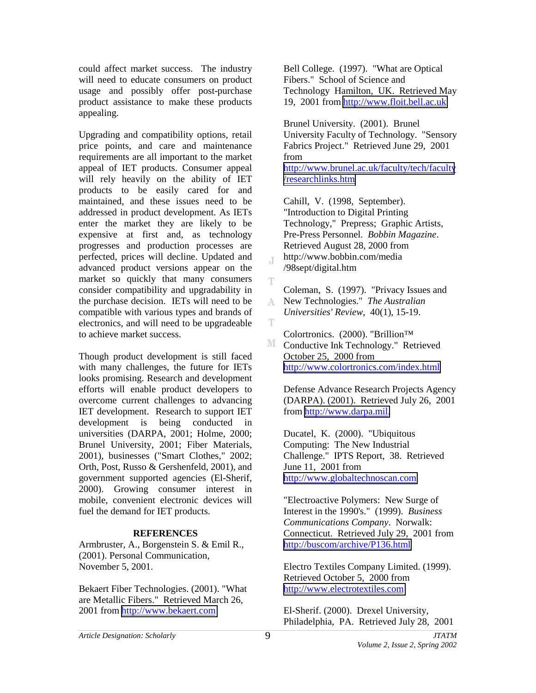could affect market success. The industry will need to educate consumers on product usage and possibly offer post-purchase product assistance to make these products appealing.

Upgrading and compatibility options, retail price points, and care and maintenance requirements are all important to the market appeal of IET products. Consumer appeal will rely heavily on the ability of IET products to be easily cared for and maintained, and these issues need to be addressed in product development. As IETs enter the market they are likely to be expensive at first and, as technology progresses and production processes are perfected, prices will decline. Updated and advanced product versions appear on the market so quickly that many consumers consider compatibility and upgradability in the purchase decision. IETs will need to be compatible with various types and brands of electronics, and will need to be upgradeable to achieve market success.

Though product development is still faced with many challenges, the future for IETs looks promising. Research and development efforts will enable product developers to overcome current challenges to advancing IET development. Research to support IET development is being conducted in universities (DARPA, 2001; Holme, 2000; Brunel University, 2001; Fiber Materials, 2001), businesses ("Smart Clothes," 2002; Orth, Post, Russo & Gershenfeld, 2001), and government supported agencies (El-Sherif, 2000). Growing consumer interest in mobile, convenient electronic devices will fuel the demand for IET products.

### **REFERENCES**

Armbruster, A., Borgenstein S. & Emil R., (2001). Personal Communication, November 5, 2001.

Bekaert Fiber Technologies. (2001). "What are Metallic Fibers." Retrieved March 26, 2001 from [http://www.bekaert.com](http://www.bekaert.com/) 

Bell College. (1997). "What are Optical Fibers." School of Science and Technology Hamilton, UK. Retrieved May 19, 2001 from [http://www.floit.bell.ac.uk](http://www.floit.bell.ac.uk/)

Brunel University. (2001). Brunel University Faculty of Technology. "Sensory Fabrics Project." Retrieved June 29, 2001 from [http://www.brunel.ac.uk/faculty/tech/faculty](http://www.brunel.ac.uk/faculty/tech/faculty/researchlinks.htm)

[/researchlinks.htm](http://www.brunel.ac.uk/faculty/tech/faculty/researchlinks.htm) 

Cahill, V. (1998, September). "Introduction to Digital Printing Technology," Prepress; Graphic Artists, Pre-Press Personnel. *Bobbin Magazine*. Retrieved August 28, 2000 from http://www.bobbin.com/media /98sept/digital.htm

Coleman, S. (1997). "Privacy Issues and New Technologies." *The Australian*  A. *Universities' Review*, 40(1), 15-19.

Colortronics. (2000). "Brillion™

M Conductive Ink Technology." Retrieved October 25, 2000 from <http://www.colortronics.com/index.html>

Defense Advance Research Projects Agency (DARPA). (2001). Retrieved July 26, 2001 from [http://www.darpa.mil.](http://www.darpa.mil/)

Ducatel, K. (2000). "Ubiquitous Computing: The New Industrial Challenge." IPTS Report, 38. Retrieved June 11, 2001 from [http://www.globaltechnoscan.com](http://www.globaltechnoscan.com/) 

"Electroactive Polymers: New Surge of Interest in the 1990's." (1999). *Business Communications Company*. Norwalk: Connecticut. Retrieved July 29, 2001 from <http://buscom/archive/P136.html>

Electro Textiles Company Limited. (1999). Retrieved October 5, 2000 from [http://www.electrotextiles.com](http://www.electrotextiles.com/) 

El-Sherif. (2000). Drexel University, Philadelphia, PA. Retrieved July 28, 2001

 $\mathbb{I}$ 

Ŧ

T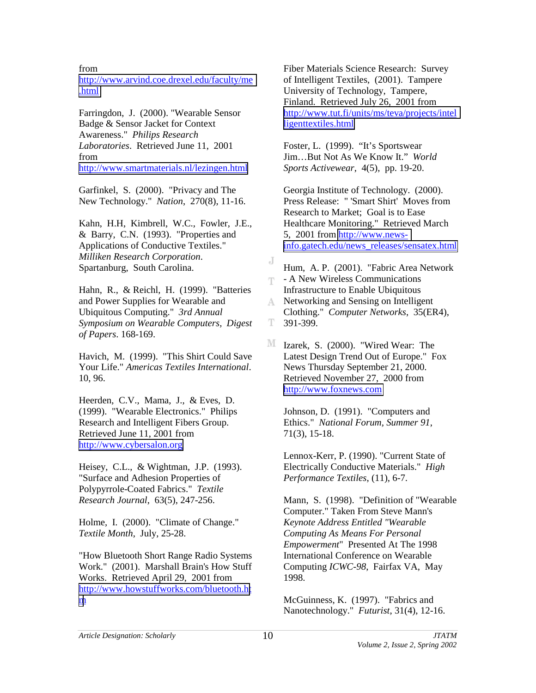from

[http://www.arvind.coe.drexel.edu/faculty/me](http://www.arvind.coe.drexel.edu/faculty/me.html) [.html](http://www.arvind.coe.drexel.edu/faculty/me.html) 

Farringdon, J. (2000). "Wearable Sensor Badge & Sensor Jacket for Context Awareness." *Philips Research Laboratories*. Retrieved June 11, 2001 from <http://www.smartmaterials.nl/lezingen.html>

Garfinkel, S. (2000). "Privacy and The New Technology." *Nation*, 270(8), 11-16.

Kahn, H.H, Kimbrell, W.C., Fowler, J.E., & Barry, C.N. (1993). "Properties and Applications of Conductive Textiles." *Milliken Research Corporation*. Spartanburg, South Carolina.

Hahn, R., & Reichl, H. (1999). "Batteries and Power Supplies for Wearable and Ubiquitous Computing." *3rd Annual Symposium on Wearable Computers, Digest of Papers*. 168-169.

Havich, M. (1999). "This Shirt Could Save Your Life." *Americas Textiles International*. 10, 96.

Heerden, C.V., Mama, J., & Eves, D. (1999). "Wearable Electronics." Philips Research and Intelligent Fibers Group. Retrieved June 11, 2001 from [http://www.cybersalon.org](http://www.cybersalon.org/) 

Heisey, C.L., & Wightman, J.P. (1993). "Surface and Adhesion Properties of Polypyrrole-Coated Fabrics." *Textile Research Journal*, 63(5), 247-256.

Holme, I. (2000). "Climate of Change." *Textile Month*, July, 25-28.

"How Bluetooth Short Range Radio Systems Work." (2001). Marshall Brain's How Stuff Works. Retrieved April 29, 2001 from [http://www.howstuffworks.com/bluetooth.ht](http://www.howstuffworks.com/bluetooth.htm) [m](http://www.howstuffworks.com/bluetooth.htm)

Fiber Materials Science Research: Survey of Intelligent Textiles, (2001). Tampere University of Technology, Tampere, Finland. Retrieved July 26, 2001 from [http://www.tut.fi/units/ms/teva/projects/intel](http://www.tut.fi/units/ms/teva/projects/intelligenttextiles.html) [ligenttextiles.html](http://www.tut.fi/units/ms/teva/projects/intelligenttextiles.html) 

Foster, L. (1999). "It's Sportswear Jim…But Not As We Know It." *World Sports Activewear*, 4(5), pp. 19-20.

Georgia Institute of Technology. (2000). Press Release: " 'Smart Shirt' Moves from Research to Market; Goal is to Ease Healthcare Monitoring." Retrieved March 5, 2001 from [http://www.news](http://www.news-info.gatech.edu/news_releases/sensatex.html)[info.gatech.edu/news\\_releases/sensatex.html](http://www.news-info.gatech.edu/news_releases/sensatex.html) 

J Hum, A. P. (2001). "Fabric Area Network  $\Gamma$  - A New Wireless Communications Infrastructure to Enable Ubiquitous Networking and Sensing on Intelligent

Clothing." *Computer Networks*, 35(ER4), 391-399. T.

M Izarek, S. (2000). "Wired Wear: The Latest Design Trend Out of Europe." Fox News Thursday September 21, 2000. Retrieved November 27, 2000 from [http://www.foxnews.com](http://www.foxnews.com/) 

Johnson, D. (1991). "Computers and Ethics." *National Forum, Summer 91*, 71(3), 15-18.

Lennox-Kerr, P. (1990). "Current State of Electrically Conductive Materials." *High Performance Textiles*, (11), 6-7.

Mann, S. (1998). "Definition of "Wearable Computer." Taken From Steve Mann's *Keynote Address Entitled "Wearable Computing As Means For Personal Empowerment*" Presented At The 1998 International Conference on Wearable Computing *ICWC-98*, Fairfax VA, May 1998.

McGuinness, K. (1997). "Fabrics and Nanotechnology." *Futurist*, 31(4), 12-16.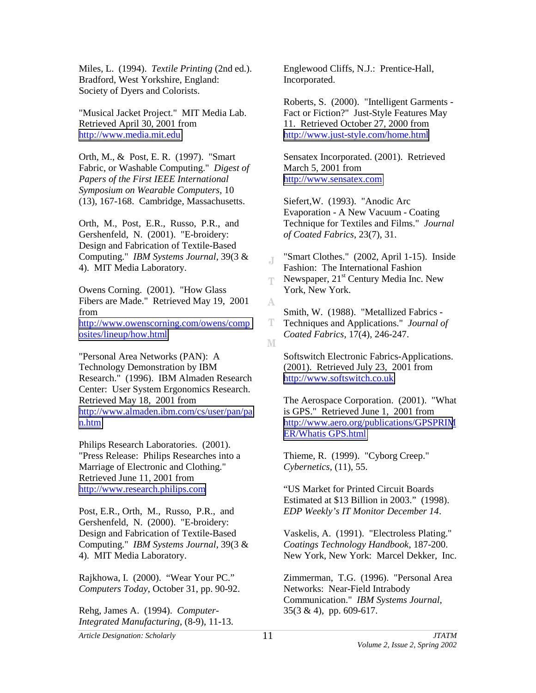Miles, L. (1994). *Textile Printing* (2nd ed.). Bradford, West Yorkshire, England: Society of Dyers and Colorists.

"Musical Jacket Project." MIT Media Lab. Retrieved April 30, 2001 from [http://www.media.mit.edu](http://www.media.mit.edu/) 

Orth, M., & Post, E. R. (1997). "Smart Fabric, or Washable Computing." *Digest of Papers of the First IEEE International Symposium on Wearable Computers*, 10 (13), 167-168. Cambridge, Massachusetts.

Orth, M., Post, E.R., Russo, P.R., and Gershenfeld, N. (2001). "E-broidery: Design and Fabrication of Textile-Based Computing." *IBM Systems Journal*, 39(3 & 4). MIT Media Laboratory.

Owens Corning. (2001). "How Glass Fibers are Made." Retrieved May 19, 2001 from [http://www.owenscorning.com/owens/comp](http://www.owenscorning.com/owens/composites/lineup/how.html) [osites/lineup/how.html](http://www.owenscorning.com/owens/composites/lineup/how.html) 

"Personal Area Networks (PAN): A Technology Demonstration by IBM Research." (1996). IBM Almaden Research Center: User System Ergonomics Research. Retrieved May 18, 2001 from [http://www.almaden.ibm.com/cs/user/pan/pa](http://www.almaden.ibm.com/cs/user/pan/pan.htm) [n.htm](http://www.almaden.ibm.com/cs/user/pan/pan.htm) 

Philips Research Laboratories. (2001). "Press Release: Philips Researches into a Marriage of Electronic and Clothing." Retrieved June 11, 2001 from [http://www.research.philips.com](http://www.research.philips.com/) 

Post, E.R., Orth, M., Russo, P.R., and Gershenfeld, N. (2000). "E-broidery: Design and Fabrication of Textile-Based Computing." *IBM Systems Journal*, 39(3 & 4). MIT Media Laboratory.

Rajkhowa, I. (2000). "Wear Your PC." *Computers Today*, October 31, pp. 90-92.

Rehg, James A. (1994). *Computer-Integrated Manufacturing*, (8-9), 11-13. Englewood Cliffs, N.J.: Prentice-Hall, Incorporated.

Roberts, S. (2000). "Intelligent Garments - Fact or Fiction?" Just-Style Features May 11. Retrieved October 27, 2000 from <http://www.just-style.com/home.html>

Sensatex Incorporated. (2001). Retrieved March 5, 2001 from [http://www.sensatex.com](http://www.sensatex.com/) 

Siefert,W. (1993). "Anodic Arc Evaporation - A New Vacuum - Coating Technique for Textiles and Films." *Journal of Coated Fabrics*, 23(7), 31.

"Smart Clothes." (2002, April 1-15). Inside J. Fashion: The International Fashion Newspaper, 21<sup>st</sup> Century Media Inc. New T. York, New York.

Smith, W. (1988). "Metallized Fabrics - T. Techniques and Applications." *Journal of Coated Fabrics*, 17(4), 246-247. M

Softswitch Electronic Fabrics-Applications. (2001). Retrieved July 23, 2001 from [http://www.softswitch.co.uk](http://www.softswitch.co.uk/) 

The Aerospace Corporation. (2001). "What is GPS." Retrieved June 1, 2001 from [http://www.aero.org/publications/GPSPRIM](http://www.aero.org/publications/GPSPRIMER/Whatis GPS.html) [ER/Whatis GPS.html](http://www.aero.org/publications/GPSPRIMER/Whatis GPS.html) 

Thieme, R. (1999). "Cyborg Creep." *Cybernetics*, (11), 55.

"US Market for Printed Circuit Boards Estimated at \$13 Billion in 2003." (1998). *EDP Weekly's IT Monitor December 14*.

Vaskelis, A. (1991). "Electroless Plating." *Coatings Technology Handbook*, 187-200. New York, New York: Marcel Dekker, Inc.

Zimmerman, T.G. (1996). "Personal Area Networks: Near-Field Intrabody Communication." *IBM Systems Journal*, 35(3 & 4), pp. 609-617.

A